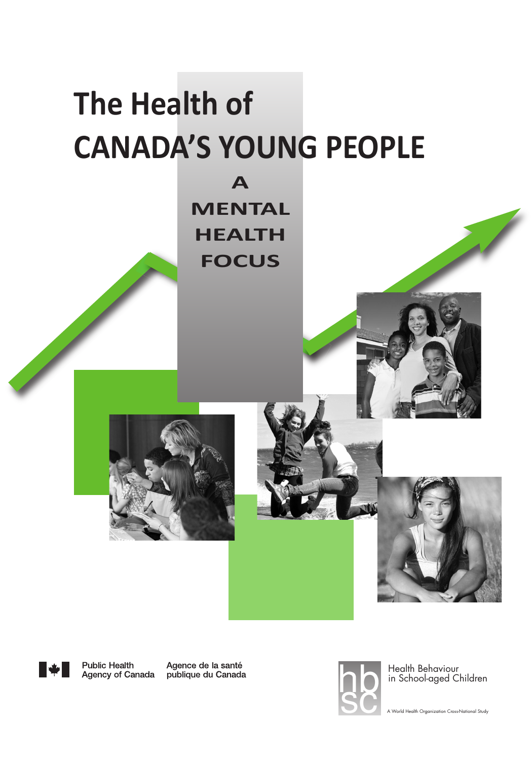# **The Health of Canada's Young PeoPle**

**a MenTal HealTH foCus**





**Public Health** Agency of Canada

Agence de la santé publique du Canada



Health Behaviour in School-aged Children

A World Health Organization Cross-National Study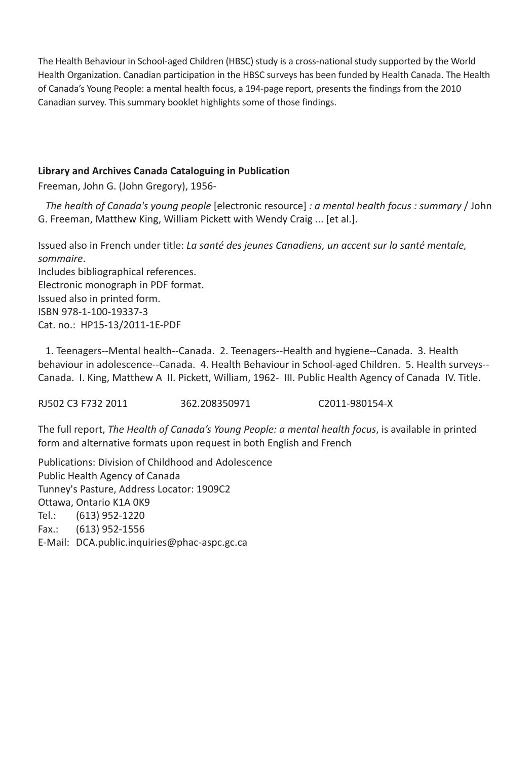The Health Behaviour in School-aged Children (HBSC) study is a cross-national study supported by the World Health Organization. Canadian participation in the HBSC surveys has been funded by Health Canada. The Health of Canada's Young People: a mental health focus, a 194-page report, presents the findings from the 2010 Canadian survey. This summary booklet highlights some of those findings.

## **library and archives Canada Cataloguing in Publication**

Freeman, John G. (John Gregory), 1956-

*The health of Canada's young people* [electronic resource] *: a mental health focus : summary* / John G. Freeman, Matthew King, William Pickett with Wendy Craig ... [et al.].

Issued also in French under title: *La santé des jeunes Canadiens, un accent sur la santé mentale, sommaire*.

Includes bibliographical references. Electronic monograph in PDF format. Issued also in printed form. ISBN 978-1-100-19337-3 Cat. no.: HP15-13/2011-1E-PDF

1. Teenagers--Mental health--Canada. 2. Teenagers--Health and hygiene--Canada. 3. Health behaviour in adolescence--Canada. 4. Health Behaviour in School-aged Children. 5. Health surveys-- Canada. I. King, Matthew A II. Pickett, William, 1962- III. Public Health Agency of Canada IV. Title.

RJ502 C3 F732 2011 362.208350971 C2011-980154-X

The full report, *The Health of Canada's Young People: a mental health focus*, is available in printed form and alternative formats upon request in both English and French

Publications: Division of Childhood and Adolescence Public Health Agency of Canada Tunney's Pasture, Address Locator: 1909C2 Ottawa, Ontario K1A 0K9 Tel.: (613) 952-1220 Fax.: (613) 952-1556 E-Mail: DCA.public.inquiries@phac-aspc.gc.ca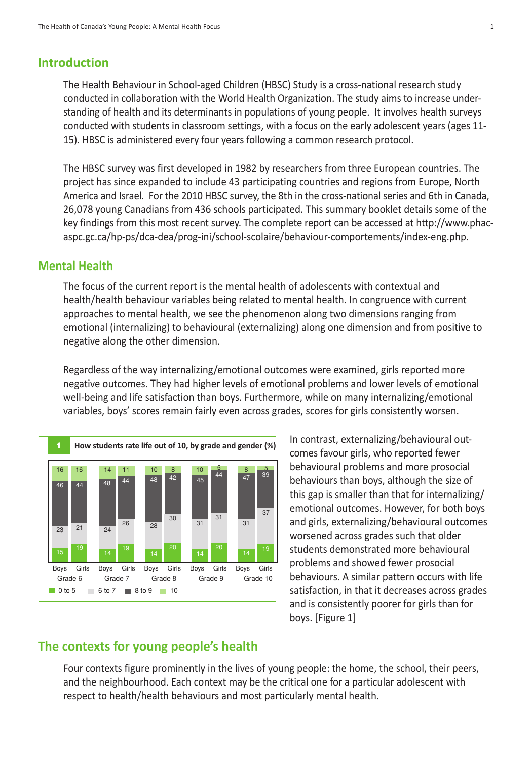# **Introduction**

The Health Behaviour in School-aged Children (HBSC) Study is a cross-national research study conducted in collaboration with the World Health Organization. The study aims to increase understanding of health and its determinants in populations of young people. It involves health surveys conducted with students in classroom settings, with a focus on the early adolescent years (ages 11- 15). HBSC is administered every four years following a common research protocol.

The HBSC survey was first developed in 1982 by researchers from three European countries. The project has since expanded to include 43 participating countries and regions from Europe, North America and Israel. For the 2010 HBSC survey, the 8th in the cross-national series and 6th in Canada, 26,078 young Canadians from 436 schools participated. This summary booklet details some of the key findings from this most recent survey. The complete report can be accessed at http://www.phacaspc.gc.ca/hp-ps/dca-dea/prog-ini/school-scolaire/behaviour-comportements/index-eng.php.

## **Mental Health**

The focus of the current report is the mental health of adolescents with contextual and health/health behaviour variables being related to mental health. In congruence with current approaches to mental health, we see the phenomenon along two dimensions ranging from emotional (internalizing) to behavioural (externalizing) along one dimension and from positive to negative along the other dimension.

Regardless of the way internalizing/emotional outcomes were examined, girls reported more negative outcomes. They had higher levels of emotional problems and lower levels of emotional well-being and life satisfaction than boys. Furthermore, while on many internalizing/emotional variables, boys' scores remain fairly even across grades, scores for girls consistently worsen.



In contrast, externalizing/behavioural outcomes favour girls, who reported fewer behavioural problems and more prosocial behaviours than boys, although the size of this gap is smaller than that for internalizing/ emotional outcomes. However, for both boys and girls, externalizing/behavioural outcomes worsened across grades such that older students demonstrated more behavioural problems and showed fewer prosocial behaviours. A similar pattern occurs with life satisfaction, in that it decreases across grades and is consistently poorer for girls than for boys. [Figure 1]

# **The contexts for young people's health**

Four contexts figure prominently in the lives of young people: the home, the school, their peers, and the neighbourhood. Each context may be the critical one for a particular adolescent with respect to health/health behaviours and most particularly mental health.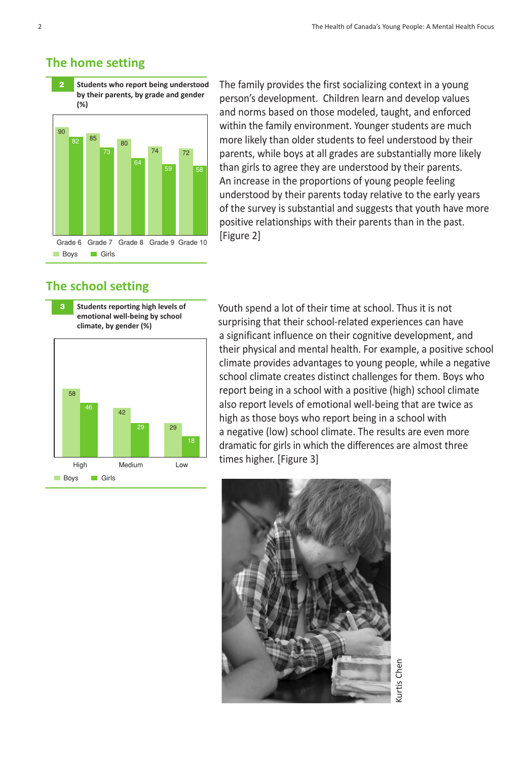# **The home setting**



The family provides the first socializing context in a young person's development. Children learn and develop values and norms based on those modeled, taught, and enforced within the family environment. Younger students are much more likely than older students to feel understood by their parents, while boys at all grades are substantially more likely than girls to agree they are understood by their parents. An increase in the proportions of young people feeling understood by their parents today relative to the early years of the survey is substantial and suggests that youth have more positive relationships with their parents than in the past. [Figure 2]

# **The school setting**





Youth spend a lot of their time at school. Thus it is not surprising that their school-related experiences can have a significant influence on their cognitive development, and their physical and mental health. For example, a positive school climate provides advantages to young people, while a negative school climate creates distinct challenges for them. Boys who report being in a school with a positive (high) school climate also report levels of emotional well-being that are twice as high as those boys who report being in a school with a negative (low) school climate. The results are even more dramatic for girls in which the differences are almost three times higher. [Figure 3]



Kurtis Chen**Curtis Cher**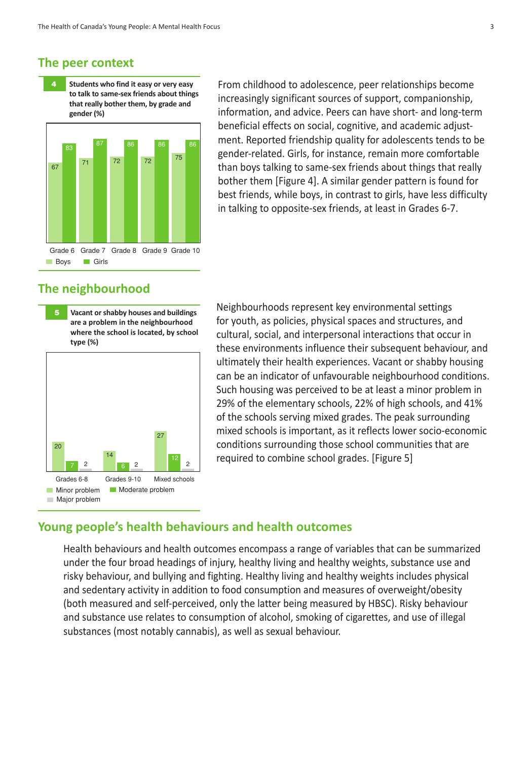#### **The peer context**

83 87 86 86 86 **4 students who find it easy or very easy to talk to same-sex friends about things that really bother them, by grade and gender (%)**

Grade 6 Grade 7 Grade 8 Grade 9 Grade 10 **Boys** Girls 67 71 72 <sup>72</sup> <sup>75</sup>

# From childhood to adolescence, peer relationships become increasingly significant sources of support, companionship, information, and advice. Peers can have short- and long-term beneficial effects on social, cognitive, and academic adjustment. Reported friendship quality for adolescents tends to be gender-related. Girls, for instance, remain more comfortable than boys talking to same-sex friends about things that really bother them [Figure 4]. A similar gender pattern is found for best friends, while boys, in contrast to girls, have less difficulty in talking to opposite-sex friends, at least in Grades 6-7.

# **The neighbourhood**

**5 Vacant orshabby houses and buildings are a problem in the neighbourhood where the school is located, by school type (%)**



Neighbourhoods represent key environmental settings for youth, as policies, physical spaces and structures, and cultural, social, and interpersonal interactions that occur in these environments influence their subsequent behaviour, and ultimately their health experiences. Vacant or shabby housing can be an indicator of unfavourable neighbourhood conditions. Such housing was perceived to be at least a minor problem in 29% of the elementary schools, 22% of high schools, and 41% of the schools serving mixed grades. The peak surrounding mixed schools is important, as it reflects lower socio-economic conditions surrounding those school communities that are required to combine school grades. [Figure 5]

### **Young people's health behaviours and health outcomes**

Health behaviours and health outcomes encompass a range of variables that can be summarized under the four broad headings of injury, healthy living and healthy weights, substance use and risky behaviour, and bullying and fighting. Healthy living and healthy weights includes physical and sedentary activity in addition to food consumption and measures of overweight/obesity (both measured and self-perceived, only the latter being measured by HBSC). Risky behaviour and substance use relates to consumption of alcohol, smoking of cigarettes, and use of illegal substances (most notably cannabis), as well as sexual behaviour.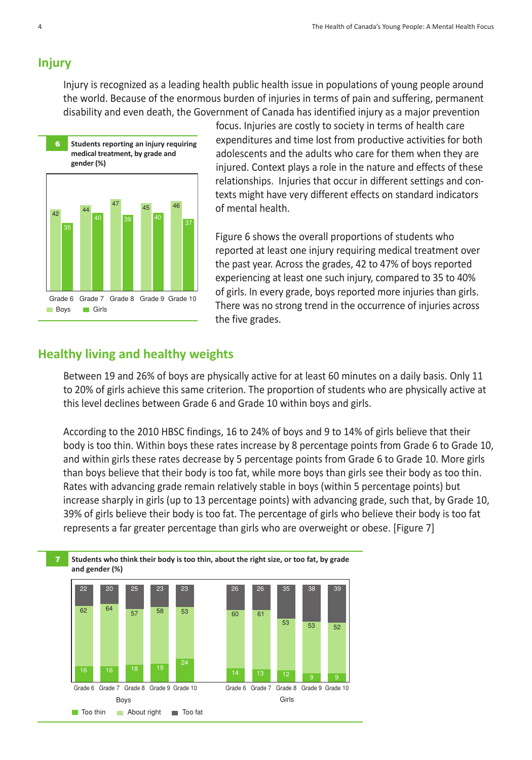#### **Injury**

Injury is recognized as a leading health public health issue in populations of young people around the world. Because of the enormous burden of injuries in terms of pain and suffering, permanent disability and even death, the Government of Canada has identified injury as a major prevention



focus. Injuries are costly to society in terms of health care expenditures and time lost from productive activities for both adolescents and the adults who care for them when they are injured. Context plays a role in the nature and effects of these relationships. Injuries that occur in different settings and contexts might have very different effects on standard indicators of mental health.

Figure 6 shows the overall proportions of students who reported at least one injury requiring medical treatment over the past year. Across the grades, 42 to 47% of boys reported experiencing at least one such injury, compared to 35 to 40% of girls. In every grade, boys reported more injuries than girls. There was no strong trend in the occurrence of injuries across the five grades.

#### **Healthy living and healthy weights**

Between 19 and 26% of boys are physically active for at least 60 minutes on a daily basis. Only 11 to 20% of girls achieve this same criterion. The proportion of students who are physically active at this level declines between Grade 6 and Grade 10 within boys and girls.

According to the 2010 HBSC findings, 16 to 24% of boys and 9 to 14% of girls believe that their body is too thin. Within boys these rates increase by 8 percentage points from Grade 6 to Grade 10, and within girls these rates decrease by 5 percentage points from Grade 6 to Grade 10. More girls than boys believe that their body is too fat, while more boys than girls see their body as too thin. Rates with advancing grade remain relatively stable in boys (within 5 percentage points) but increase sharply in girls (up to 13 percentage points) with advancing grade, such that, by Grade 10, 39% of girls believe their body is too fat. The percentage of girls who believe their body is too fat represents a far greater percentage than girls who are overweight or obese. [Figure 7]

#### **7 students who think their body is too thin, about the right size, or too fat, by grade and gender (%)**

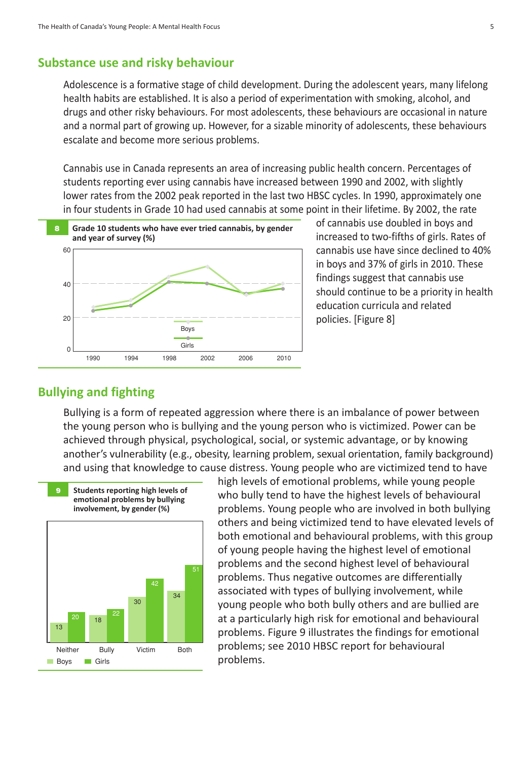### **substance use and risky behaviour**

Adolescence is a formative stage of child development. During the adolescent years, many lifelong health habits are established. It is also a period of experimentation with smoking, alcohol, and drugs and other risky behaviours. For most adolescents, these behaviours are occasional in nature and a normal part of growing up. However, for a sizable minority of adolescents, these behaviours escalate and become more serious problems.

Cannabis use in Canada represents an area of increasing public health concern. Percentages of students reporting ever using cannabis have increased between 1990 and 2002, with slightly lower rates from the 2002 peak reported in the last two HBSC cycles. In 1990, approximately one in four students in Grade 10 had used cannabis at some point in their lifetime. By 2002, the rate



of cannabis use doubled in boys and increased to two-fifths of girls. Rates of cannabis use have since declined to 40% in boys and 37% of girls in 2010. These findings suggest that cannabis use should continue to be a priority in health education curricula and related policies. [Figure 8]

# **Bullying and fighting**

Bullying is a form of repeated aggression where there is an imbalance of power between the young person who is bullying and the young person who is victimized. Power can be achieved through physical, psychological, social, or systemic advantage, or by knowing another's vulnerability (e.g., obesity, learning problem, sexual orientation, family background) and using that knowledge to cause distress. Young people who are victimized tend to have



high levels of emotional problems, while young people who bully tend to have the highest levels of behavioural problems. Young people who are involved in both bullying others and being victimized tend to have elevated levels of both emotional and behavioural problems, with this group of young people having the highest level of emotional problems and the second highest level of behavioural problems. Thus negative outcomes are differentially associated with types of bullying involvement, while young people who both bully others and are bullied are at a particularly high risk for emotional and behavioural problems. Figure 9 illustrates the findings for emotional problems; see 2010 HBSC report for behavioural problems.